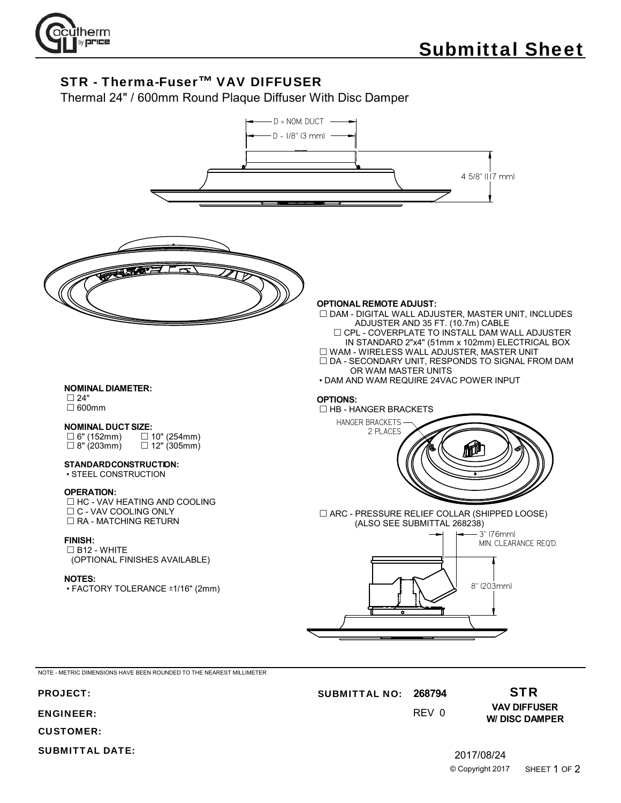

## STR - Therma-Fuser™ VAV DIFFUSER

Thermal 24" / 600mm Round Plaque Diffuser With Disc Damper



ENGINEER:

CUSTOMER:

SUBMITTAL DATE:

**VAV DIFFUSER W/ DISC DAMPER**

0 REV

2017/08/24 © Copyright 2017 SHEET 1 OF 2